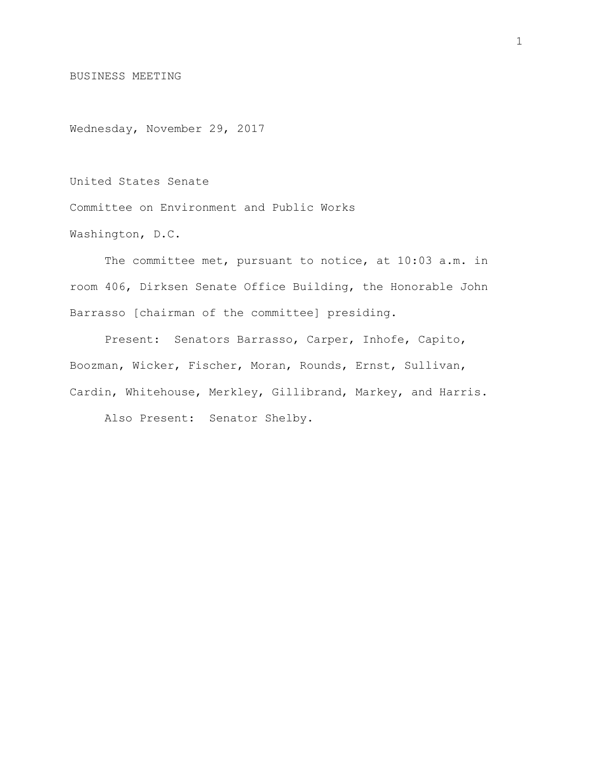BUSINESS MEETING

Wednesday, November 29, 2017

United States Senate

Committee on Environment and Public Works

Washington, D.C.

The committee met, pursuant to notice, at 10:03 a.m. in room 406, Dirksen Senate Office Building, the Honorable John Barrasso [chairman of the committee] presiding.

Present: Senators Barrasso, Carper, Inhofe, Capito, Boozman, Wicker, Fischer, Moran, Rounds, Ernst, Sullivan, Cardin, Whitehouse, Merkley, Gillibrand, Markey, and Harris.

Also Present: Senator Shelby.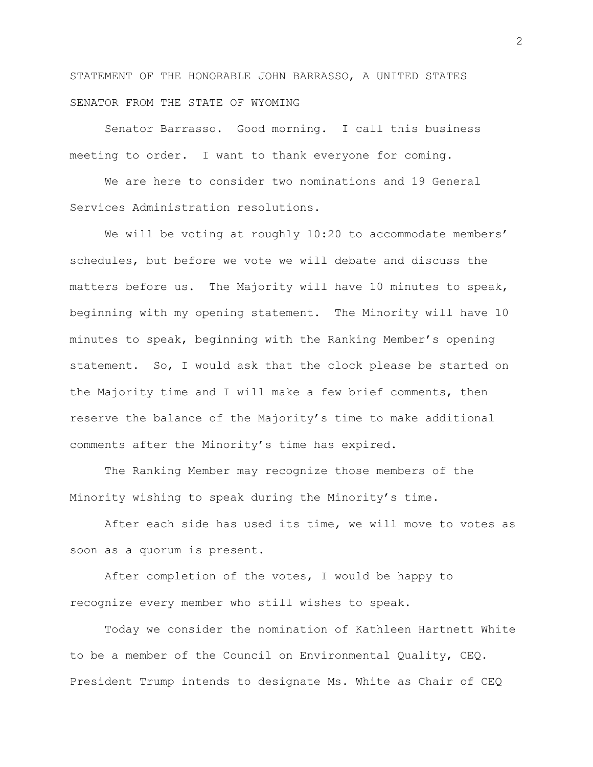STATEMENT OF THE HONORABLE JOHN BARRASSO, A UNITED STATES SENATOR FROM THE STATE OF WYOMING

Senator Barrasso. Good morning. I call this business meeting to order. I want to thank everyone for coming.

We are here to consider two nominations and 19 General Services Administration resolutions.

We will be voting at roughly 10:20 to accommodate members' schedules, but before we vote we will debate and discuss the matters before us. The Majority will have 10 minutes to speak, beginning with my opening statement. The Minority will have 10 minutes to speak, beginning with the Ranking Member's opening statement. So, I would ask that the clock please be started on the Majority time and I will make a few brief comments, then reserve the balance of the Majority's time to make additional comments after the Minority's time has expired.

The Ranking Member may recognize those members of the Minority wishing to speak during the Minority's time.

After each side has used its time, we will move to votes as soon as a quorum is present.

After completion of the votes, I would be happy to recognize every member who still wishes to speak.

Today we consider the nomination of Kathleen Hartnett White to be a member of the Council on Environmental Quality, CEQ. President Trump intends to designate Ms. White as Chair of CEQ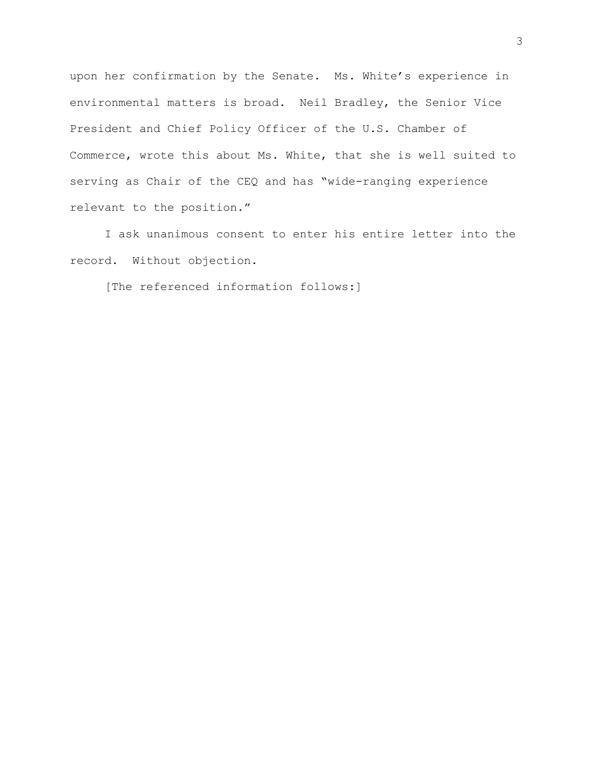upon her confirmation by the Senate. Ms. White's experience in environmental matters is broad. Neil Bradley, the Senior Vice President and Chief Policy Officer of the U.S. Chamber of Commerce, wrote this about Ms. White, that she is well suited to serving as Chair of the CEQ and has "wide-ranging experience relevant to the position."

I ask unanimous consent to enter his entire letter into the record. Without objection.

[The referenced information follows:]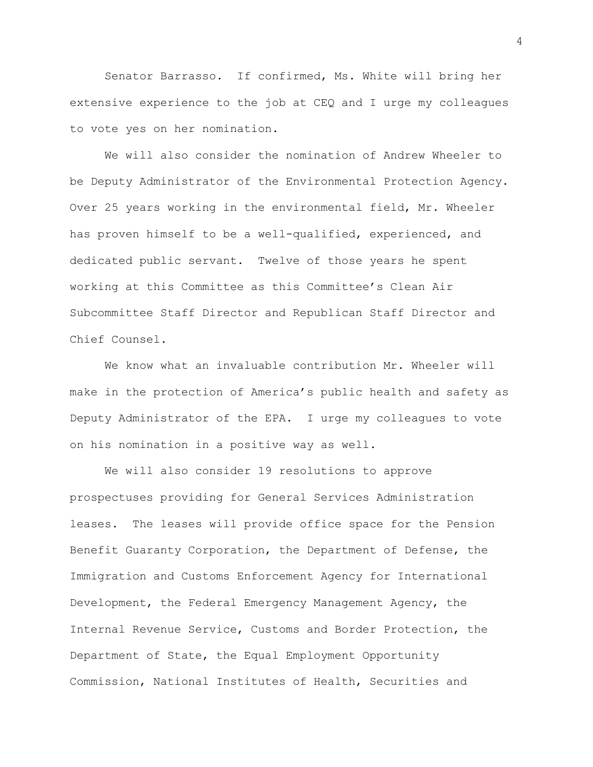Senator Barrasso. If confirmed, Ms. White will bring her extensive experience to the job at CEQ and I urge my colleagues to vote yes on her nomination.

We will also consider the nomination of Andrew Wheeler to be Deputy Administrator of the Environmental Protection Agency. Over 25 years working in the environmental field, Mr. Wheeler has proven himself to be a well-qualified, experienced, and dedicated public servant. Twelve of those years he spent working at this Committee as this Committee's Clean Air Subcommittee Staff Director and Republican Staff Director and Chief Counsel.

We know what an invaluable contribution Mr. Wheeler will make in the protection of America's public health and safety as Deputy Administrator of the EPA. I urge my colleagues to vote on his nomination in a positive way as well.

We will also consider 19 resolutions to approve prospectuses providing for General Services Administration leases. The leases will provide office space for the Pension Benefit Guaranty Corporation, the Department of Defense, the Immigration and Customs Enforcement Agency for International Development, the Federal Emergency Management Agency, the Internal Revenue Service, Customs and Border Protection, the Department of State, the Equal Employment Opportunity Commission, National Institutes of Health, Securities and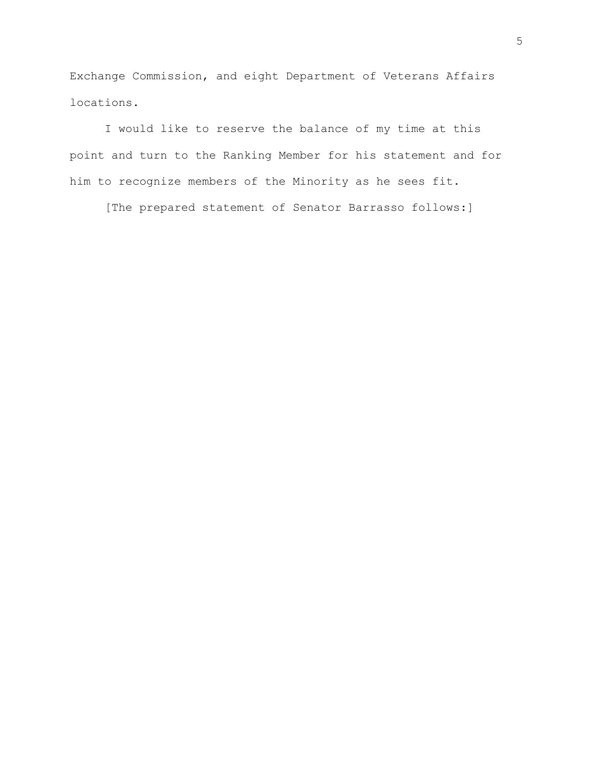Exchange Commission, and eight Department of Veterans Affairs locations.

I would like to reserve the balance of my time at this point and turn to the Ranking Member for his statement and for him to recognize members of the Minority as he sees fit.

[The prepared statement of Senator Barrasso follows:]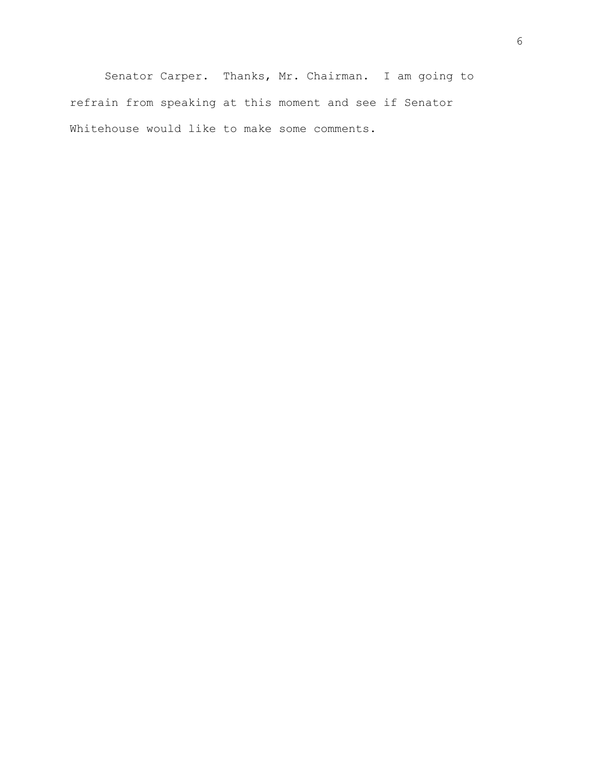Senator Carper. Thanks, Mr. Chairman. I am going to refrain from speaking at this moment and see if Senator Whitehouse would like to make some comments.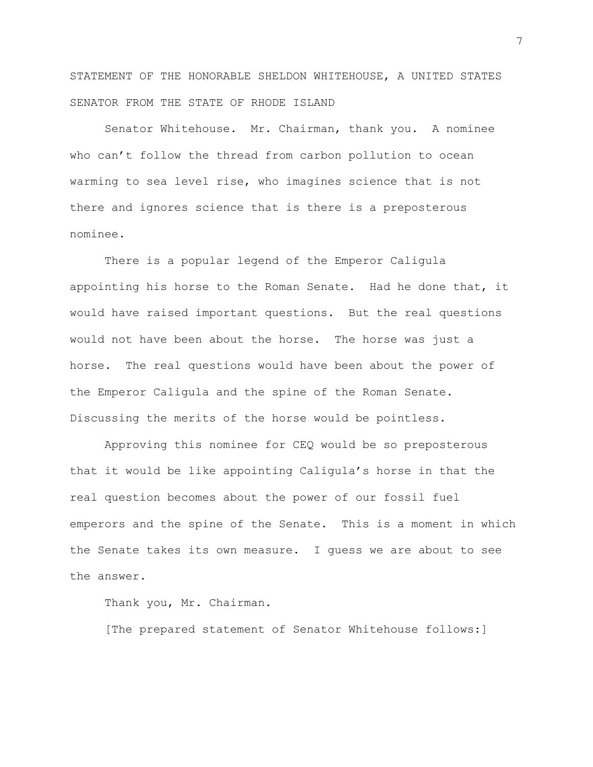STATEMENT OF THE HONORABLE SHELDON WHITEHOUSE, A UNITED STATES SENATOR FROM THE STATE OF RHODE ISLAND

Senator Whitehouse. Mr. Chairman, thank you. A nominee who can't follow the thread from carbon pollution to ocean warming to sea level rise, who imagines science that is not there and ignores science that is there is a preposterous nominee.

There is a popular legend of the Emperor Caligula appointing his horse to the Roman Senate. Had he done that, it would have raised important questions. But the real questions would not have been about the horse. The horse was just a horse. The real questions would have been about the power of the Emperor Caligula and the spine of the Roman Senate. Discussing the merits of the horse would be pointless.

Approving this nominee for CEQ would be so preposterous that it would be like appointing Caligula's horse in that the real question becomes about the power of our fossil fuel emperors and the spine of the Senate. This is a moment in which the Senate takes its own measure. I guess we are about to see the answer.

Thank you, Mr. Chairman.

[The prepared statement of Senator Whitehouse follows:]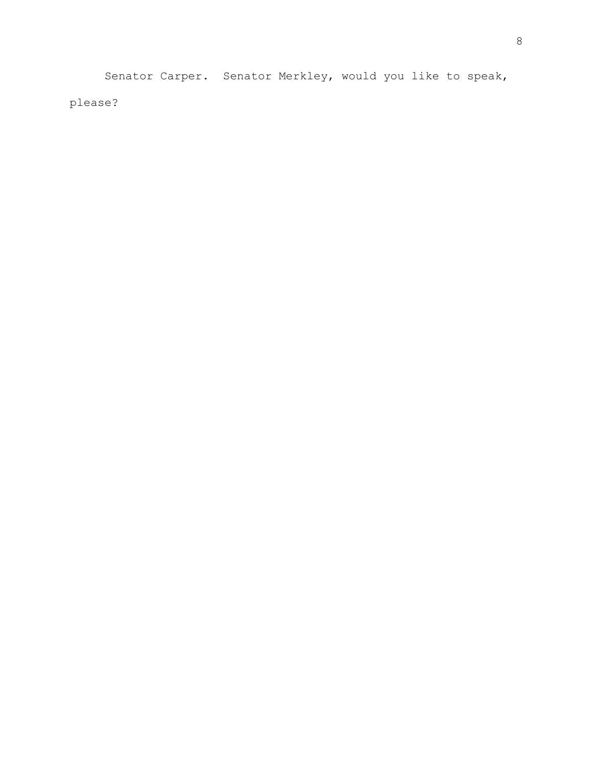Senator Carper. Senator Merkley, would you like to speak, please?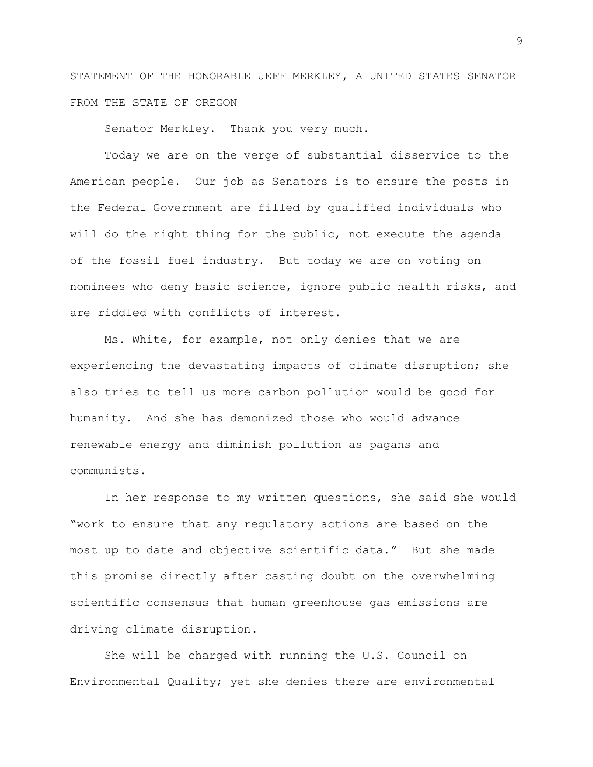STATEMENT OF THE HONORABLE JEFF MERKLEY, A UNITED STATES SENATOR FROM THE STATE OF OREGON

Senator Merkley. Thank you very much.

Today we are on the verge of substantial disservice to the American people. Our job as Senators is to ensure the posts in the Federal Government are filled by qualified individuals who will do the right thing for the public, not execute the agenda of the fossil fuel industry. But today we are on voting on nominees who deny basic science, ignore public health risks, and are riddled with conflicts of interest.

Ms. White, for example, not only denies that we are experiencing the devastating impacts of climate disruption; she also tries to tell us more carbon pollution would be good for humanity. And she has demonized those who would advance renewable energy and diminish pollution as pagans and communists.

In her response to my written questions, she said she would "work to ensure that any regulatory actions are based on the most up to date and objective scientific data." But she made this promise directly after casting doubt on the overwhelming scientific consensus that human greenhouse gas emissions are driving climate disruption.

She will be charged with running the U.S. Council on Environmental Quality; yet she denies there are environmental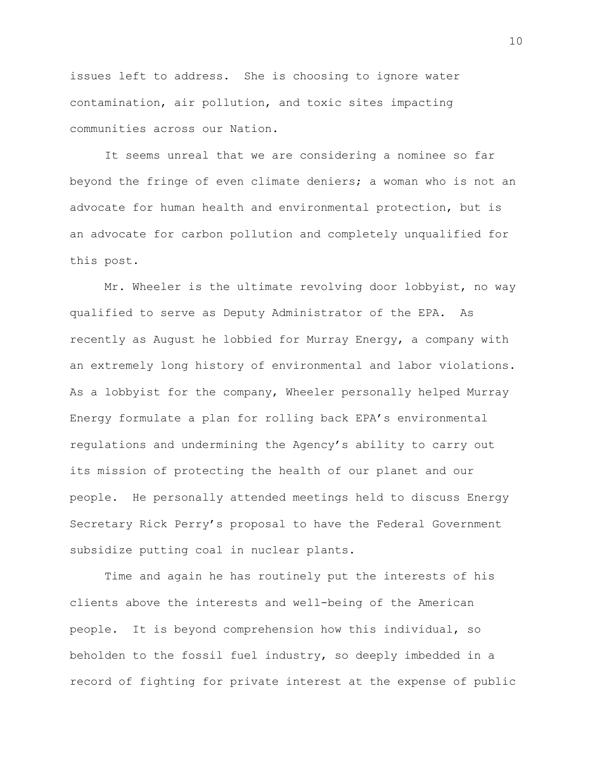issues left to address. She is choosing to ignore water contamination, air pollution, and toxic sites impacting communities across our Nation.

It seems unreal that we are considering a nominee so far beyond the fringe of even climate deniers; a woman who is not an advocate for human health and environmental protection, but is an advocate for carbon pollution and completely unqualified for this post.

Mr. Wheeler is the ultimate revolving door lobbyist, no way qualified to serve as Deputy Administrator of the EPA. As recently as August he lobbied for Murray Energy, a company with an extremely long history of environmental and labor violations. As a lobbyist for the company, Wheeler personally helped Murray Energy formulate a plan for rolling back EPA's environmental regulations and undermining the Agency's ability to carry out its mission of protecting the health of our planet and our people. He personally attended meetings held to discuss Energy Secretary Rick Perry's proposal to have the Federal Government subsidize putting coal in nuclear plants.

Time and again he has routinely put the interests of his clients above the interests and well-being of the American people. It is beyond comprehension how this individual, so beholden to the fossil fuel industry, so deeply imbedded in a record of fighting for private interest at the expense of public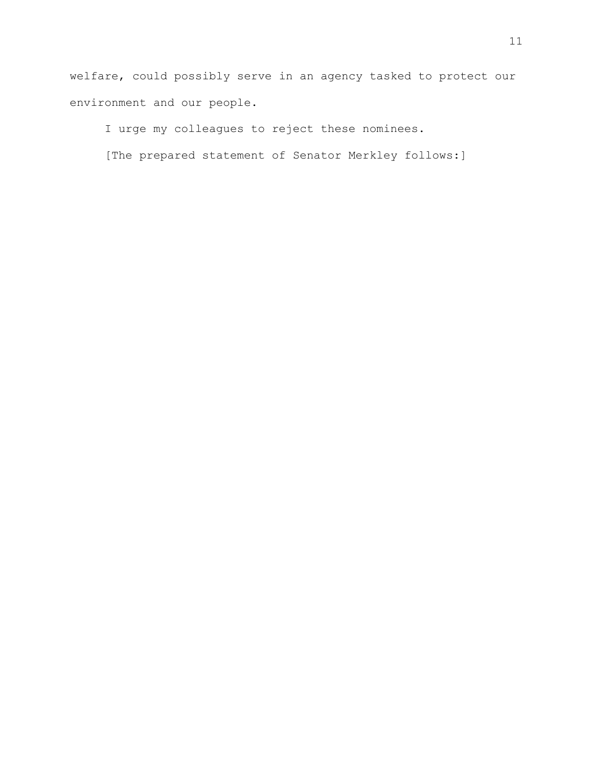welfare, could possibly serve in an agency tasked to protect our environment and our people.

I urge my colleagues to reject these nominees.

[The prepared statement of Senator Merkley follows:]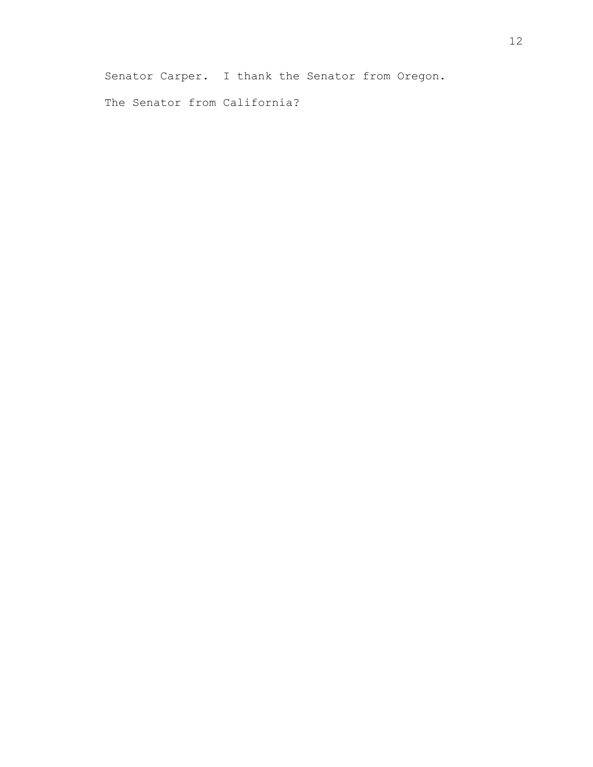Senator Carper. I thank the Senator from Oregon.

The Senator from California?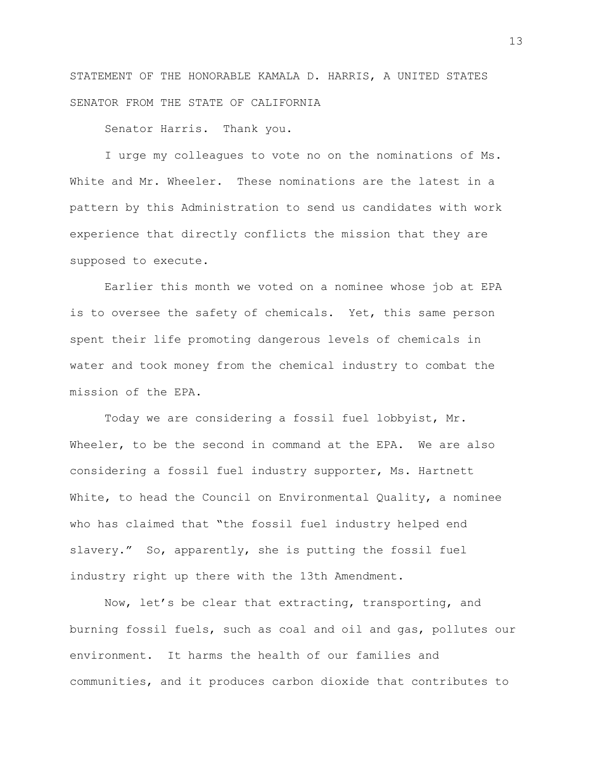STATEMENT OF THE HONORABLE KAMALA D. HARRIS, A UNITED STATES SENATOR FROM THE STATE OF CALIFORNIA

Senator Harris. Thank you.

I urge my colleagues to vote no on the nominations of Ms. White and Mr. Wheeler. These nominations are the latest in a pattern by this Administration to send us candidates with work experience that directly conflicts the mission that they are supposed to execute.

Earlier this month we voted on a nominee whose job at EPA is to oversee the safety of chemicals. Yet, this same person spent their life promoting dangerous levels of chemicals in water and took money from the chemical industry to combat the mission of the EPA.

Today we are considering a fossil fuel lobbyist, Mr. Wheeler, to be the second in command at the EPA. We are also considering a fossil fuel industry supporter, Ms. Hartnett White, to head the Council on Environmental Quality, a nominee who has claimed that "the fossil fuel industry helped end slavery." So, apparently, she is putting the fossil fuel industry right up there with the 13th Amendment.

Now, let's be clear that extracting, transporting, and burning fossil fuels, such as coal and oil and gas, pollutes our environment. It harms the health of our families and communities, and it produces carbon dioxide that contributes to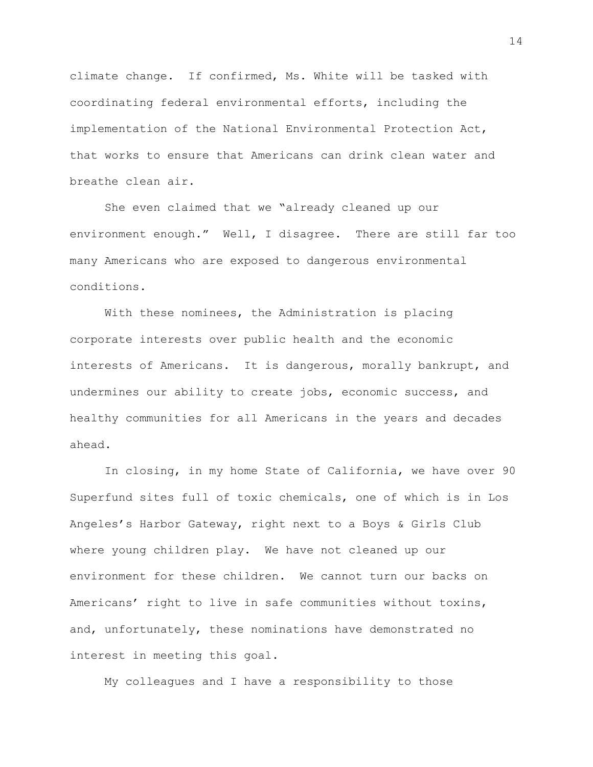climate change. If confirmed, Ms. White will be tasked with coordinating federal environmental efforts, including the implementation of the National Environmental Protection Act, that works to ensure that Americans can drink clean water and breathe clean air.

She even claimed that we "already cleaned up our environment enough." Well, I disagree. There are still far too many Americans who are exposed to dangerous environmental conditions.

With these nominees, the Administration is placing corporate interests over public health and the economic interests of Americans. It is dangerous, morally bankrupt, and undermines our ability to create jobs, economic success, and healthy communities for all Americans in the years and decades ahead.

In closing, in my home State of California, we have over 90 Superfund sites full of toxic chemicals, one of which is in Los Angeles's Harbor Gateway, right next to a Boys & Girls Club where young children play. We have not cleaned up our environment for these children. We cannot turn our backs on Americans' right to live in safe communities without toxins, and, unfortunately, these nominations have demonstrated no interest in meeting this goal.

My colleagues and I have a responsibility to those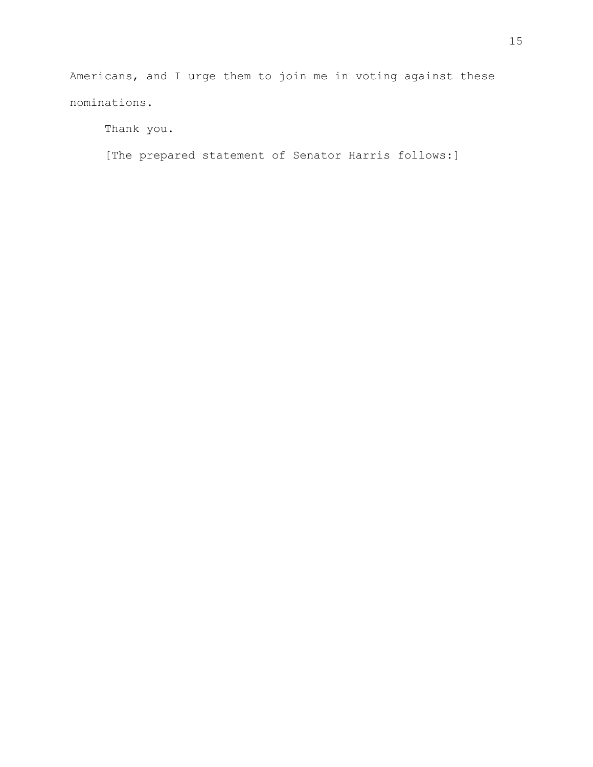Americans, and I urge them to join me in voting against these nominations.

Thank you.

[The prepared statement of Senator Harris follows:]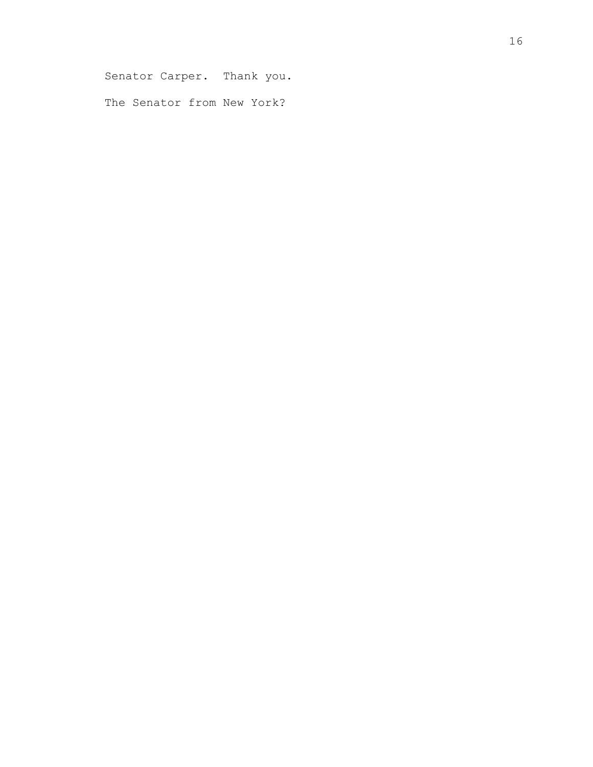Senator Carper. Thank you.

The Senator from New York?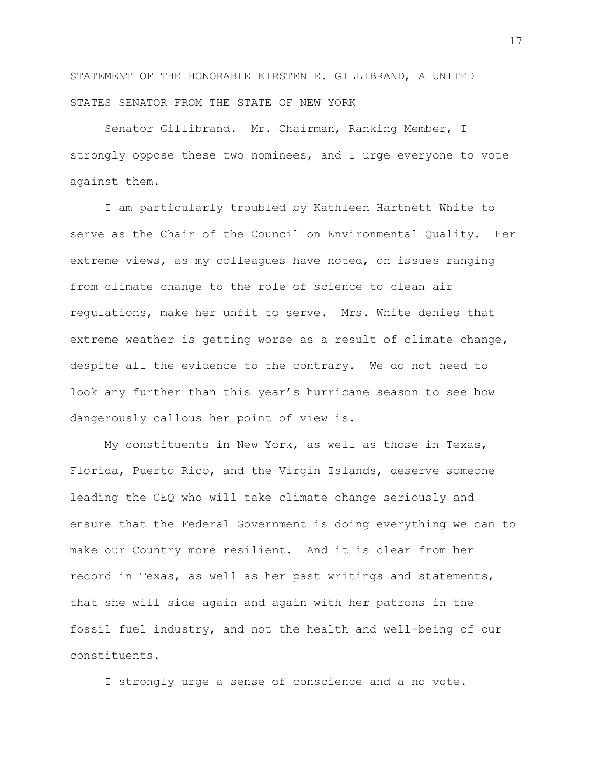STATEMENT OF THE HONORABLE KIRSTEN E. GILLIBRAND, A UNITED STATES SENATOR FROM THE STATE OF NEW YORK

Senator Gillibrand. Mr. Chairman, Ranking Member, I strongly oppose these two nominees, and I urge everyone to vote against them.

I am particularly troubled by Kathleen Hartnett White to serve as the Chair of the Council on Environmental Quality. Her extreme views, as my colleagues have noted, on issues ranging from climate change to the role of science to clean air regulations, make her unfit to serve. Mrs. White denies that extreme weather is getting worse as a result of climate change, despite all the evidence to the contrary. We do not need to look any further than this year's hurricane season to see how dangerously callous her point of view is.

My constituents in New York, as well as those in Texas, Florida, Puerto Rico, and the Virgin Islands, deserve someone leading the CEQ who will take climate change seriously and ensure that the Federal Government is doing everything we can to make our Country more resilient. And it is clear from her record in Texas, as well as her past writings and statements, that she will side again and again with her patrons in the fossil fuel industry, and not the health and well-being of our constituents.

I strongly urge a sense of conscience and a no vote.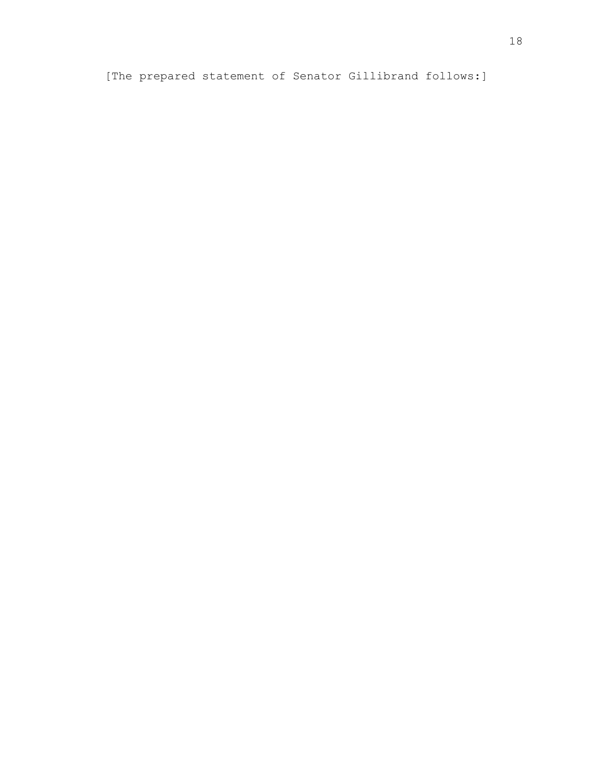[The prepared statement of Senator Gillibrand follows:]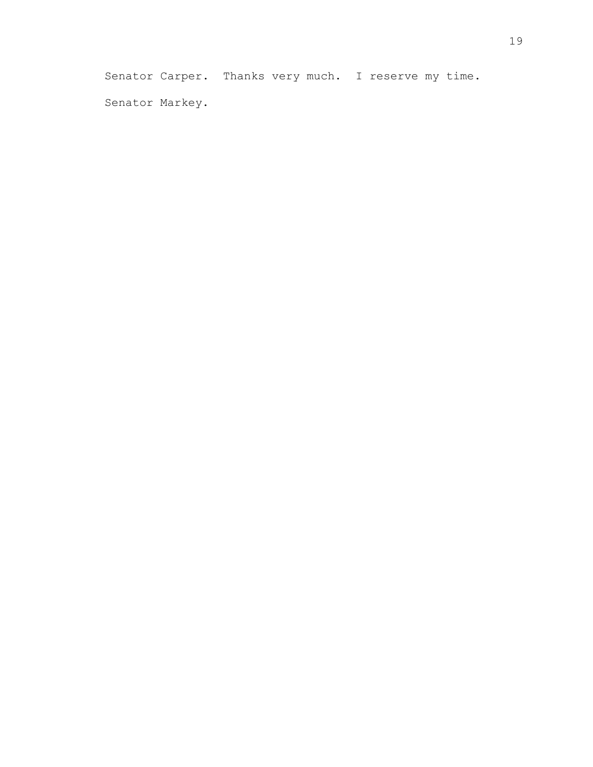Senator Carper. Thanks very much. I reserve my time. Senator Markey.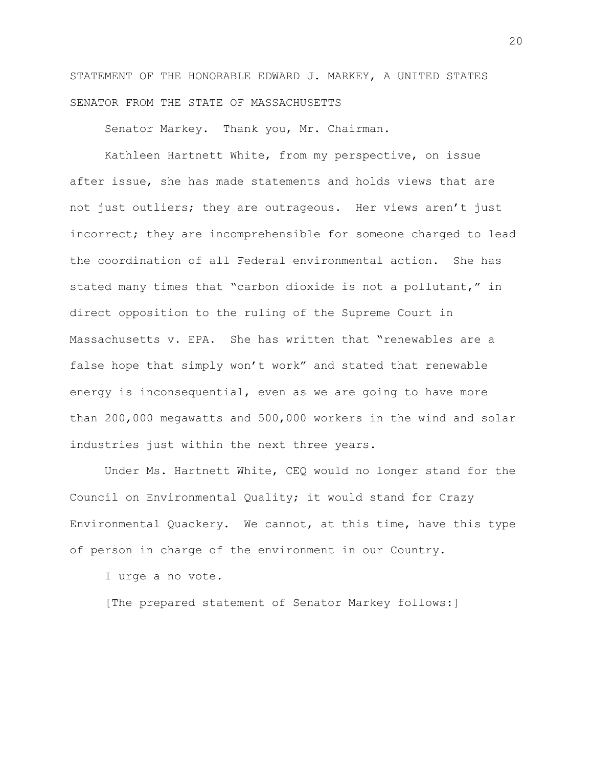STATEMENT OF THE HONORABLE EDWARD J. MARKEY, A UNITED STATES SENATOR FROM THE STATE OF MASSACHUSETTS

Senator Markey. Thank you, Mr. Chairman.

Kathleen Hartnett White, from my perspective, on issue after issue, she has made statements and holds views that are not just outliers; they are outrageous. Her views aren't just incorrect; they are incomprehensible for someone charged to lead the coordination of all Federal environmental action. She has stated many times that "carbon dioxide is not a pollutant," in direct opposition to the ruling of the Supreme Court in Massachusetts v. EPA. She has written that "renewables are a false hope that simply won't work" and stated that renewable energy is inconsequential, even as we are going to have more than 200,000 megawatts and 500,000 workers in the wind and solar industries just within the next three years.

Under Ms. Hartnett White, CEQ would no longer stand for the Council on Environmental Quality; it would stand for Crazy Environmental Quackery. We cannot, at this time, have this type of person in charge of the environment in our Country.

I urge a no vote.

[The prepared statement of Senator Markey follows:]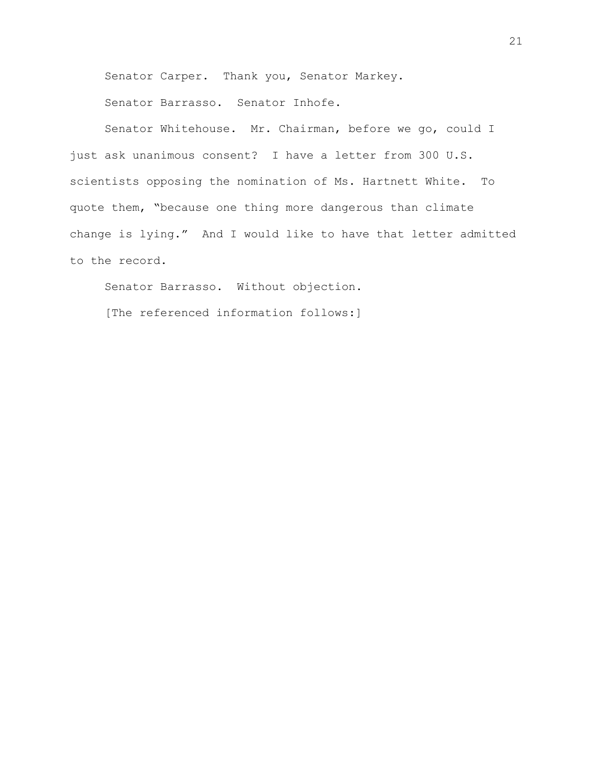Senator Carper. Thank you, Senator Markey.

Senator Barrasso. Senator Inhofe.

Senator Whitehouse. Mr. Chairman, before we go, could I just ask unanimous consent? I have a letter from 300 U.S. scientists opposing the nomination of Ms. Hartnett White. To quote them, "because one thing more dangerous than climate change is lying." And I would like to have that letter admitted to the record.

Senator Barrasso. Without objection.

[The referenced information follows:]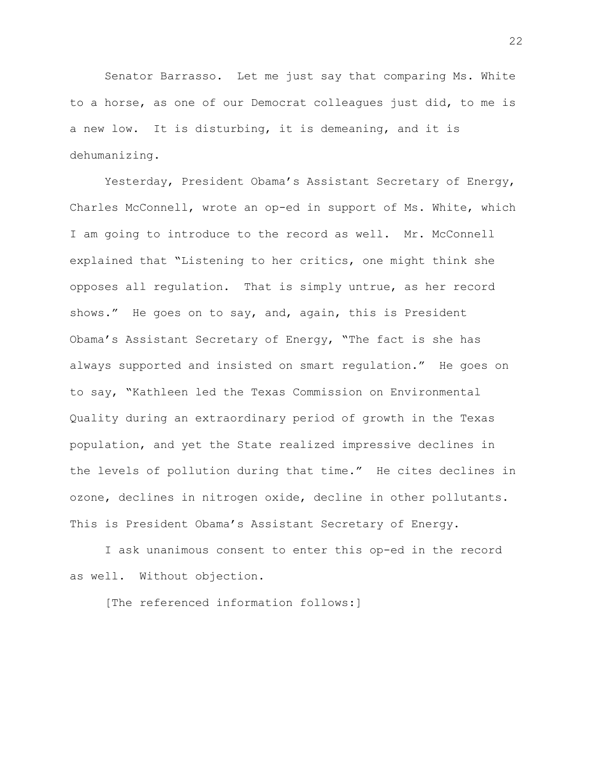Senator Barrasso. Let me just say that comparing Ms. White to a horse, as one of our Democrat colleagues just did, to me is a new low. It is disturbing, it is demeaning, and it is dehumanizing.

Yesterday, President Obama's Assistant Secretary of Energy, Charles McConnell, wrote an op-ed in support of Ms. White, which I am going to introduce to the record as well. Mr. McConnell explained that "Listening to her critics, one might think she opposes all regulation. That is simply untrue, as her record shows." He goes on to say, and, again, this is President Obama's Assistant Secretary of Energy, "The fact is she has always supported and insisted on smart regulation." He goes on to say, "Kathleen led the Texas Commission on Environmental Quality during an extraordinary period of growth in the Texas population, and yet the State realized impressive declines in the levels of pollution during that time." He cites declines in ozone, declines in nitrogen oxide, decline in other pollutants. This is President Obama's Assistant Secretary of Energy.

I ask unanimous consent to enter this op-ed in the record as well. Without objection.

[The referenced information follows:]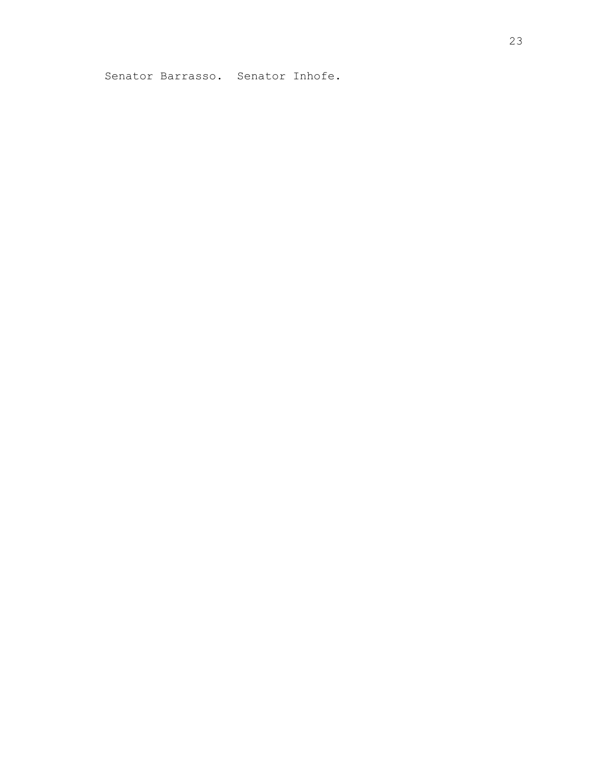Senator Barrasso. Senator Inhofe.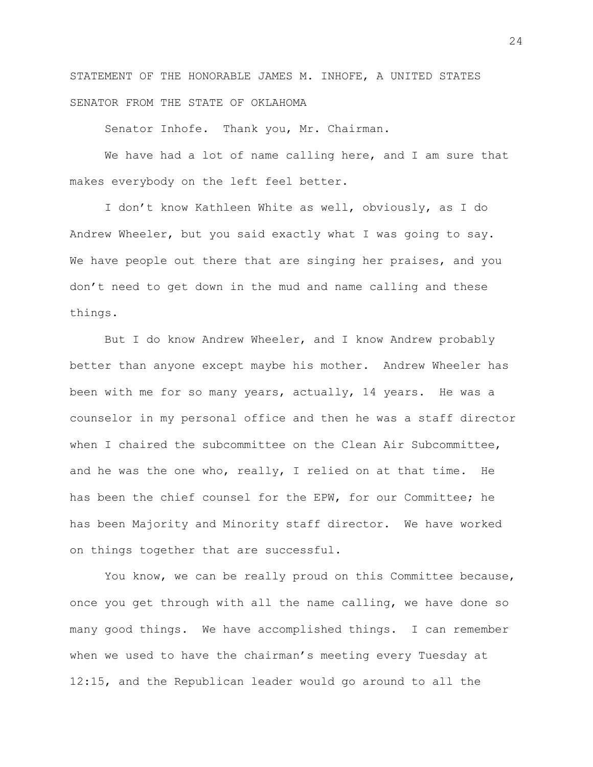STATEMENT OF THE HONORABLE JAMES M. INHOFE, A UNITED STATES SENATOR FROM THE STATE OF OKLAHOMA

Senator Inhofe. Thank you, Mr. Chairman.

We have had a lot of name calling here, and I am sure that makes everybody on the left feel better.

I don't know Kathleen White as well, obviously, as I do Andrew Wheeler, but you said exactly what I was going to say. We have people out there that are singing her praises, and you don't need to get down in the mud and name calling and these things.

But I do know Andrew Wheeler, and I know Andrew probably better than anyone except maybe his mother. Andrew Wheeler has been with me for so many years, actually, 14 years. He was a counselor in my personal office and then he was a staff director when I chaired the subcommittee on the Clean Air Subcommittee, and he was the one who, really, I relied on at that time. He has been the chief counsel for the EPW, for our Committee; he has been Majority and Minority staff director. We have worked on things together that are successful.

You know, we can be really proud on this Committee because, once you get through with all the name calling, we have done so many good things. We have accomplished things. I can remember when we used to have the chairman's meeting every Tuesday at 12:15, and the Republican leader would go around to all the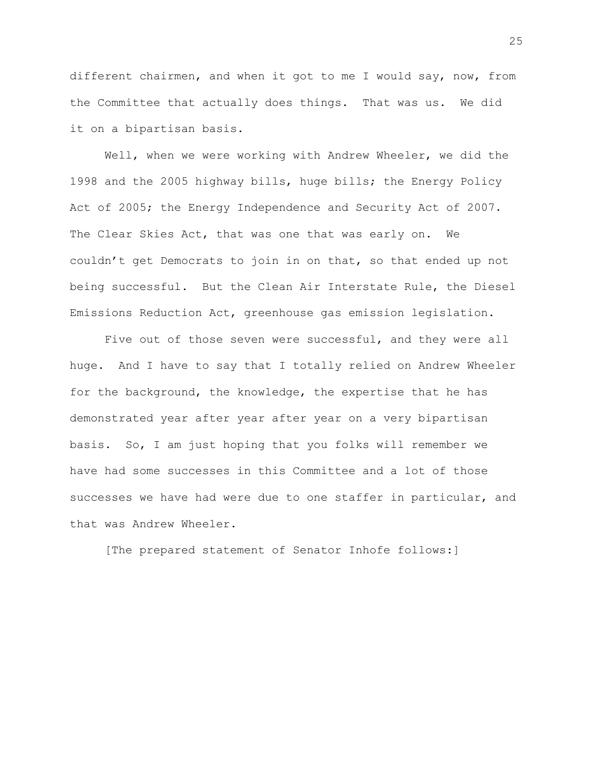different chairmen, and when it got to me I would say, now, from the Committee that actually does things. That was us. We did it on a bipartisan basis.

Well, when we were working with Andrew Wheeler, we did the 1998 and the 2005 highway bills, huge bills; the Energy Policy Act of 2005; the Energy Independence and Security Act of 2007. The Clear Skies Act, that was one that was early on. We couldn't get Democrats to join in on that, so that ended up not being successful. But the Clean Air Interstate Rule, the Diesel Emissions Reduction Act, greenhouse gas emission legislation.

Five out of those seven were successful, and they were all huge. And I have to say that I totally relied on Andrew Wheeler for the background, the knowledge, the expertise that he has demonstrated year after year after year on a very bipartisan basis. So, I am just hoping that you folks will remember we have had some successes in this Committee and a lot of those successes we have had were due to one staffer in particular, and that was Andrew Wheeler.

[The prepared statement of Senator Inhofe follows:]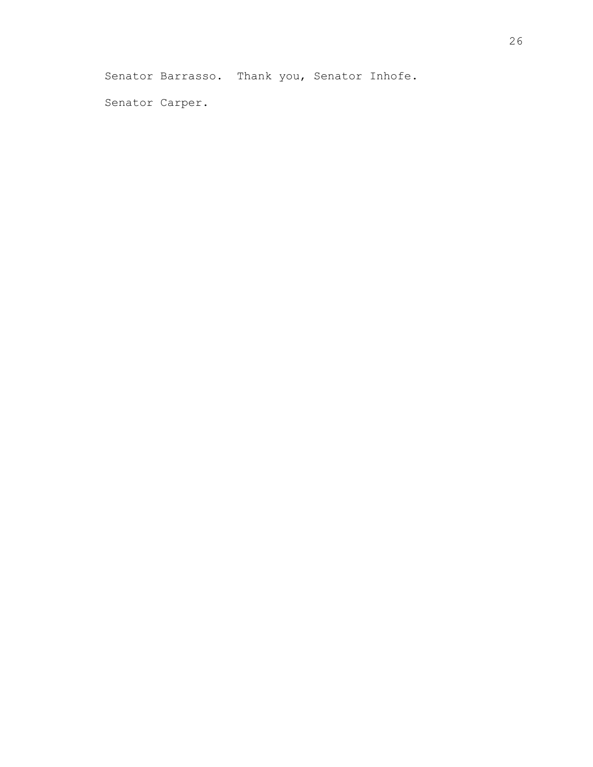Senator Barrasso. Thank you, Senator Inhofe.

Senator Carper.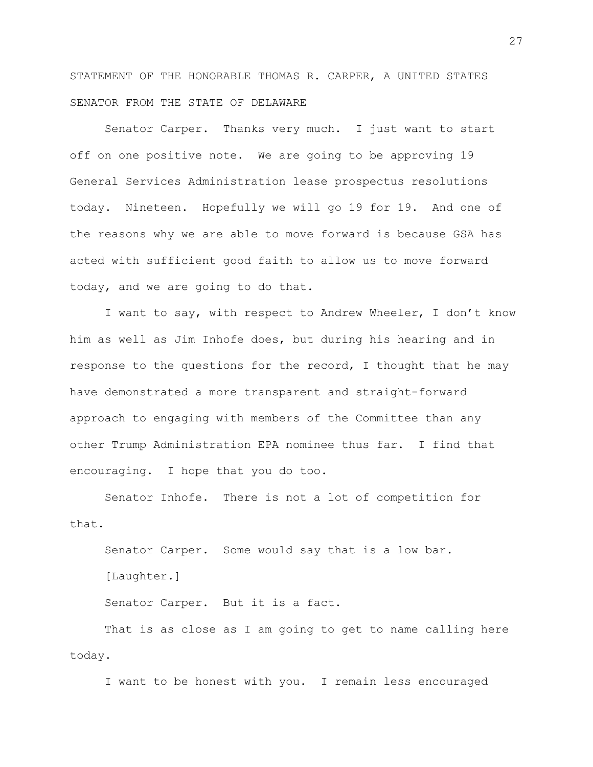STATEMENT OF THE HONORABLE THOMAS R. CARPER, A UNITED STATES SENATOR FROM THE STATE OF DELAWARE

Senator Carper. Thanks very much. I just want to start off on one positive note. We are going to be approving 19 General Services Administration lease prospectus resolutions today. Nineteen. Hopefully we will go 19 for 19. And one of the reasons why we are able to move forward is because GSA has acted with sufficient good faith to allow us to move forward today, and we are going to do that.

I want to say, with respect to Andrew Wheeler, I don't know him as well as Jim Inhofe does, but during his hearing and in response to the questions for the record, I thought that he may have demonstrated a more transparent and straight-forward approach to engaging with members of the Committee than any other Trump Administration EPA nominee thus far. I find that encouraging. I hope that you do too.

Senator Inhofe. There is not a lot of competition for that.

Senator Carper. Some would say that is a low bar. [Laughter.] Senator Carper. But it is a fact.

That is as close as I am going to get to name calling here today.

I want to be honest with you. I remain less encouraged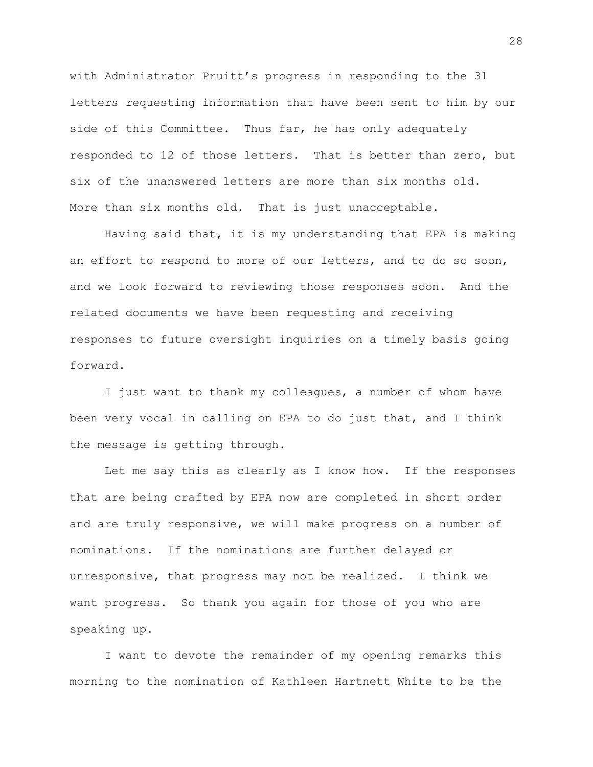with Administrator Pruitt's progress in responding to the 31 letters requesting information that have been sent to him by our side of this Committee. Thus far, he has only adequately responded to 12 of those letters. That is better than zero, but six of the unanswered letters are more than six months old. More than six months old. That is just unacceptable.

Having said that, it is my understanding that EPA is making an effort to respond to more of our letters, and to do so soon, and we look forward to reviewing those responses soon. And the related documents we have been requesting and receiving responses to future oversight inquiries on a timely basis going forward.

I just want to thank my colleagues, a number of whom have been very vocal in calling on EPA to do just that, and I think the message is getting through.

Let me say this as clearly as I know how. If the responses that are being crafted by EPA now are completed in short order and are truly responsive, we will make progress on a number of nominations. If the nominations are further delayed or unresponsive, that progress may not be realized. I think we want progress. So thank you again for those of you who are speaking up.

I want to devote the remainder of my opening remarks this morning to the nomination of Kathleen Hartnett White to be the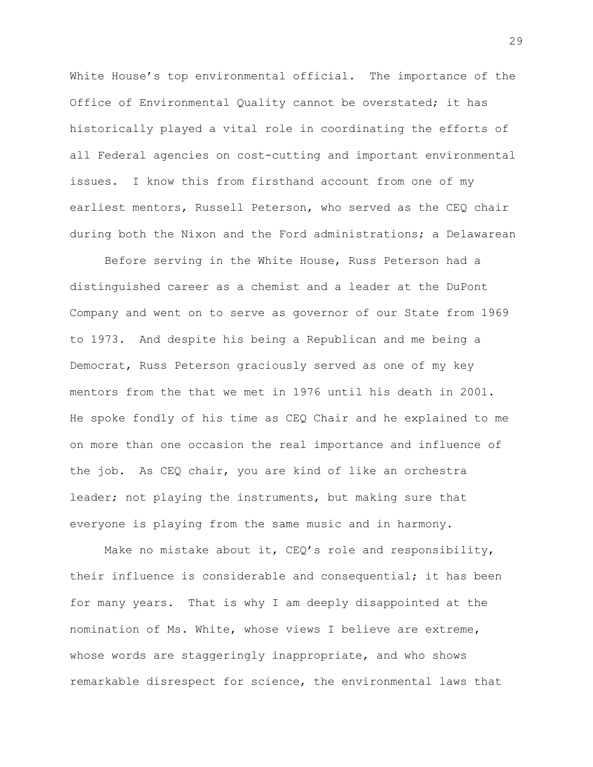White House's top environmental official. The importance of the Office of Environmental Quality cannot be overstated; it has historically played a vital role in coordinating the efforts of all Federal agencies on cost-cutting and important environmental issues. I know this from firsthand account from one of my earliest mentors, Russell Peterson, who served as the CEQ chair during both the Nixon and the Ford administrations; a Delawarean

Before serving in the White House, Russ Peterson had a distinguished career as a chemist and a leader at the DuPont Company and went on to serve as governor of our State from 1969 to 1973. And despite his being a Republican and me being a Democrat, Russ Peterson graciously served as one of my key mentors from the that we met in 1976 until his death in 2001. He spoke fondly of his time as CEQ Chair and he explained to me on more than one occasion the real importance and influence of the job. As CEQ chair, you are kind of like an orchestra leader; not playing the instruments, but making sure that everyone is playing from the same music and in harmony.

Make no mistake about it, CEQ's role and responsibility, their influence is considerable and consequential; it has been for many years. That is why I am deeply disappointed at the nomination of Ms. White, whose views I believe are extreme, whose words are staggeringly inappropriate, and who shows remarkable disrespect for science, the environmental laws that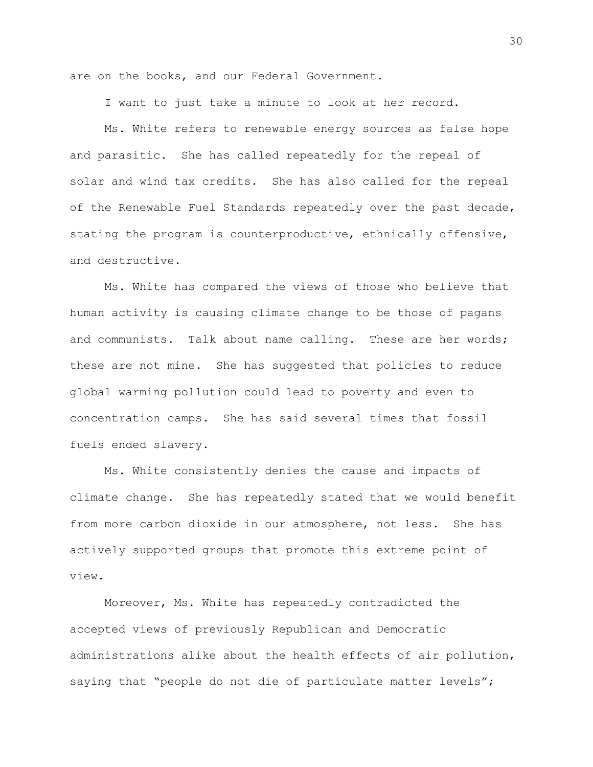are on the books, and our Federal Government.

I want to just take a minute to look at her record.

Ms. White refers to renewable energy sources as false hope and parasitic. She has called repeatedly for the repeal of solar and wind tax credits. She has also called for the repeal of the Renewable Fuel Standards repeatedly over the past decade, stating the program is counterproductive, ethnically offensive, and destructive.

Ms. White has compared the views of those who believe that human activity is causing climate change to be those of pagans and communists. Talk about name calling. These are her words; these are not mine. She has suggested that policies to reduce global warming pollution could lead to poverty and even to concentration camps. She has said several times that fossil fuels ended slavery.

Ms. White consistently denies the cause and impacts of climate change. She has repeatedly stated that we would benefit from more carbon dioxide in our atmosphere, not less. She has actively supported groups that promote this extreme point of view.

Moreover, Ms. White has repeatedly contradicted the accepted views of previously Republican and Democratic administrations alike about the health effects of air pollution, saying that "people do not die of particulate matter levels";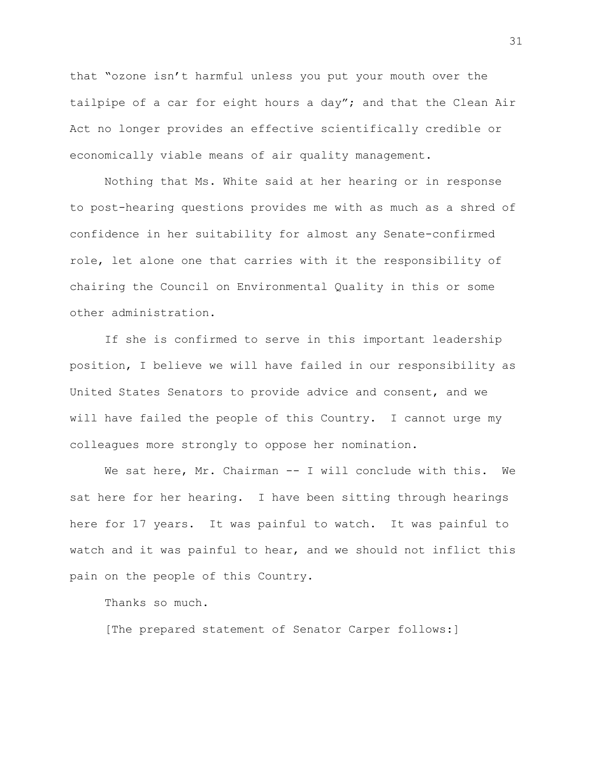that "ozone isn't harmful unless you put your mouth over the tailpipe of a car for eight hours a day"; and that the Clean Air Act no longer provides an effective scientifically credible or economically viable means of air quality management.

Nothing that Ms. White said at her hearing or in response to post-hearing questions provides me with as much as a shred of confidence in her suitability for almost any Senate-confirmed role, let alone one that carries with it the responsibility of chairing the Council on Environmental Quality in this or some other administration.

If she is confirmed to serve in this important leadership position, I believe we will have failed in our responsibility as United States Senators to provide advice and consent, and we will have failed the people of this Country. I cannot urge my colleagues more strongly to oppose her nomination.

We sat here, Mr. Chairman -- I will conclude with this. We sat here for her hearing. I have been sitting through hearings here for 17 years. It was painful to watch. It was painful to watch and it was painful to hear, and we should not inflict this pain on the people of this Country.

Thanks so much.

[The prepared statement of Senator Carper follows:]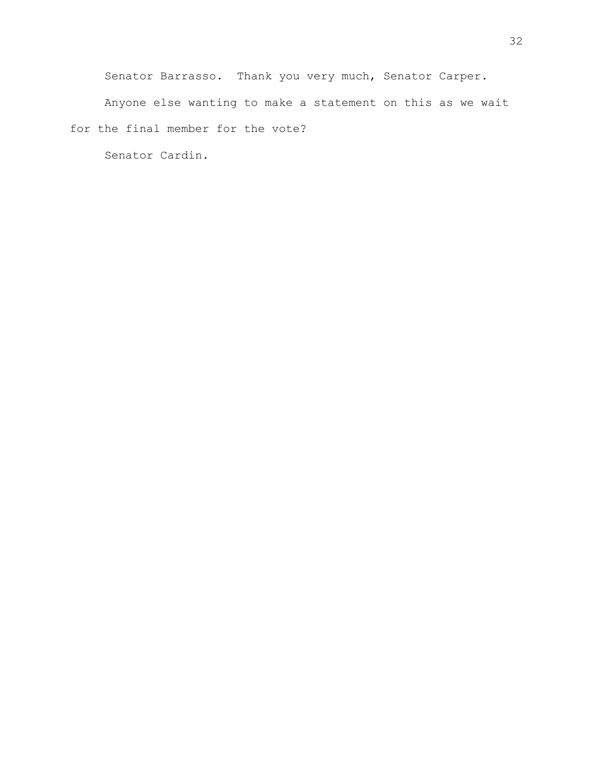Senator Barrasso. Thank you very much, Senator Carper.

Anyone else wanting to make a statement on this as we wait for the final member for the vote?

Senator Cardin.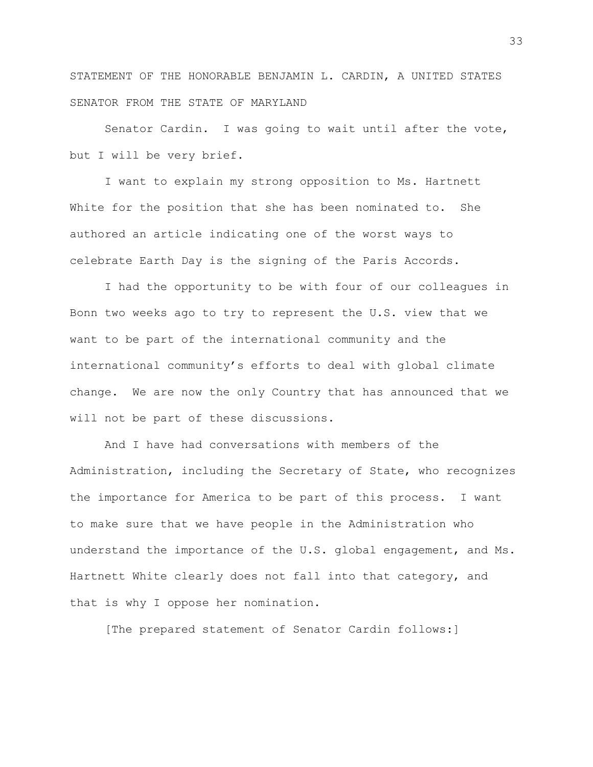STATEMENT OF THE HONORABLE BENJAMIN L. CARDIN, A UNITED STATES SENATOR FROM THE STATE OF MARYLAND

Senator Cardin. I was going to wait until after the vote, but I will be very brief.

I want to explain my strong opposition to Ms. Hartnett White for the position that she has been nominated to. She authored an article indicating one of the worst ways to celebrate Earth Day is the signing of the Paris Accords.

I had the opportunity to be with four of our colleagues in Bonn two weeks ago to try to represent the U.S. view that we want to be part of the international community and the international community's efforts to deal with global climate change. We are now the only Country that has announced that we will not be part of these discussions.

And I have had conversations with members of the Administration, including the Secretary of State, who recognizes the importance for America to be part of this process. I want to make sure that we have people in the Administration who understand the importance of the U.S. global engagement, and Ms. Hartnett White clearly does not fall into that category, and that is why I oppose her nomination.

[The prepared statement of Senator Cardin follows:]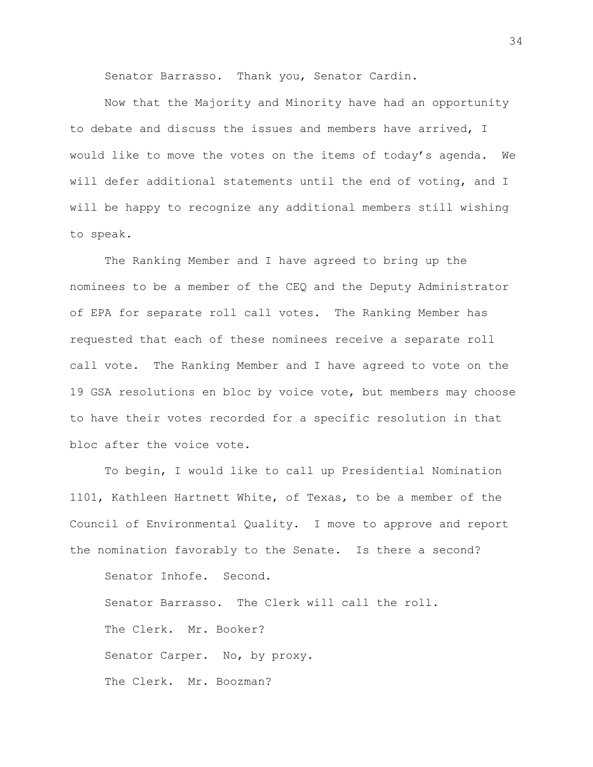Senator Barrasso. Thank you, Senator Cardin.

Now that the Majority and Minority have had an opportunity to debate and discuss the issues and members have arrived, I would like to move the votes on the items of today's agenda. We will defer additional statements until the end of voting, and I will be happy to recognize any additional members still wishing to speak.

The Ranking Member and I have agreed to bring up the nominees to be a member of the CEQ and the Deputy Administrator of EPA for separate roll call votes. The Ranking Member has requested that each of these nominees receive a separate roll call vote. The Ranking Member and I have agreed to vote on the 19 GSA resolutions en bloc by voice vote, but members may choose to have their votes recorded for a specific resolution in that bloc after the voice vote.

To begin, I would like to call up Presidential Nomination 1101, Kathleen Hartnett White, of Texas, to be a member of the Council of Environmental Quality. I move to approve and report the nomination favorably to the Senate. Is there a second?

Senator Inhofe. Second. Senator Barrasso. The Clerk will call the roll. The Clerk. Mr. Booker? Senator Carper. No, by proxy. The Clerk. Mr. Boozman?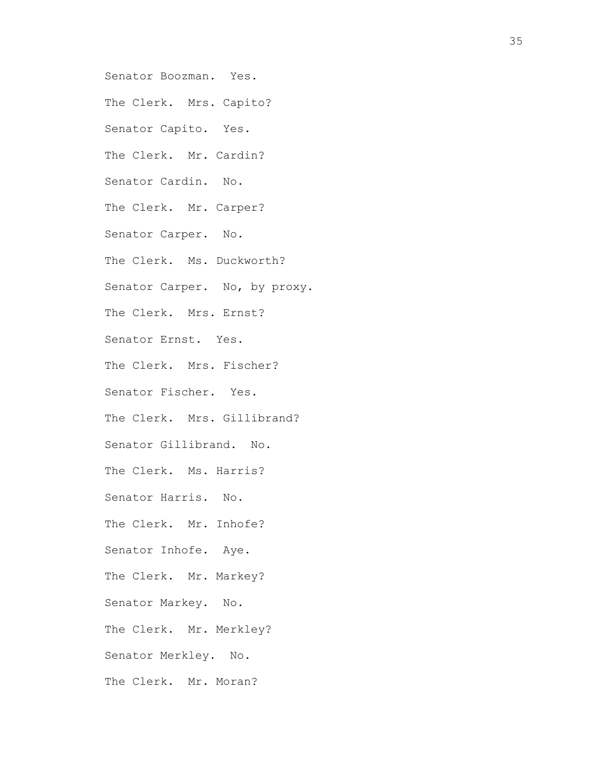Senator Boozman. Yes. The Clerk. Mrs. Capito? Senator Capito. Yes. The Clerk. Mr. Cardin? Senator Cardin. No. The Clerk. Mr. Carper? Senator Carper. No. The Clerk. Ms. Duckworth? Senator Carper. No, by proxy. The Clerk. Mrs. Ernst? Senator Ernst. Yes. The Clerk. Mrs. Fischer? Senator Fischer. Yes. The Clerk. Mrs. Gillibrand? Senator Gillibrand. No. The Clerk. Ms. Harris? Senator Harris. No. The Clerk. Mr. Inhofe? Senator Inhofe. Aye. The Clerk. Mr. Markey? Senator Markey. No. The Clerk. Mr. Merkley? Senator Merkley. No. The Clerk. Mr. Moran?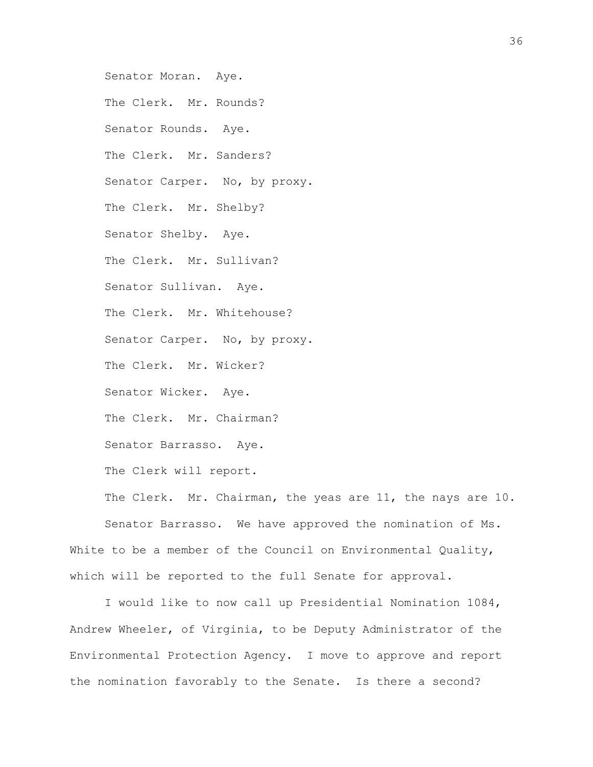Senator Moran. Aye. The Clerk. Mr. Rounds? Senator Rounds. Aye. The Clerk. Mr. Sanders? Senator Carper. No, by proxy. The Clerk. Mr. Shelby? Senator Shelby. Aye. The Clerk. Mr. Sullivan? Senator Sullivan. Aye. The Clerk. Mr. Whitehouse? Senator Carper. No, by proxy. The Clerk. Mr. Wicker? Senator Wicker. Aye. The Clerk. Mr. Chairman? Senator Barrasso. Aye. The Clerk will report. The Clerk. Mr. Chairman, the yeas are 11, the nays are 10.

Senator Barrasso. We have approved the nomination of Ms. White to be a member of the Council on Environmental Quality, which will be reported to the full Senate for approval.

I would like to now call up Presidential Nomination 1084, Andrew Wheeler, of Virginia, to be Deputy Administrator of the Environmental Protection Agency. I move to approve and report the nomination favorably to the Senate. Is there a second?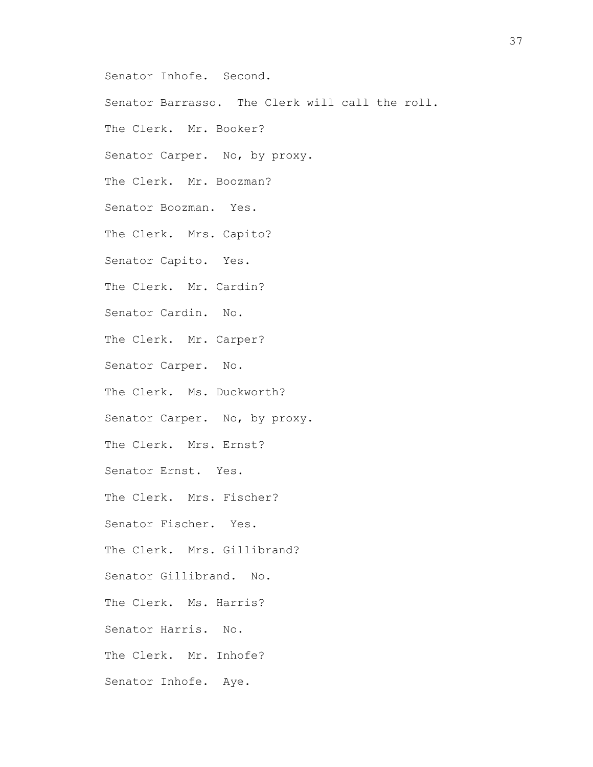Senator Inhofe. Second.

Senator Barrasso. The Clerk will call the roll.

The Clerk. Mr. Booker?

Senator Carper. No, by proxy.

The Clerk. Mr. Boozman?

Senator Boozman. Yes.

The Clerk. Mrs. Capito?

Senator Capito. Yes.

The Clerk. Mr. Cardin?

Senator Cardin. No.

The Clerk. Mr. Carper?

Senator Carper. No.

The Clerk. Ms. Duckworth?

Senator Carper. No, by proxy.

The Clerk. Mrs. Ernst?

Senator Ernst. Yes.

The Clerk. Mrs. Fischer?

Senator Fischer. Yes.

The Clerk. Mrs. Gillibrand?

Senator Gillibrand. No.

The Clerk. Ms. Harris?

Senator Harris. No.

The Clerk. Mr. Inhofe?

Senator Inhofe. Aye.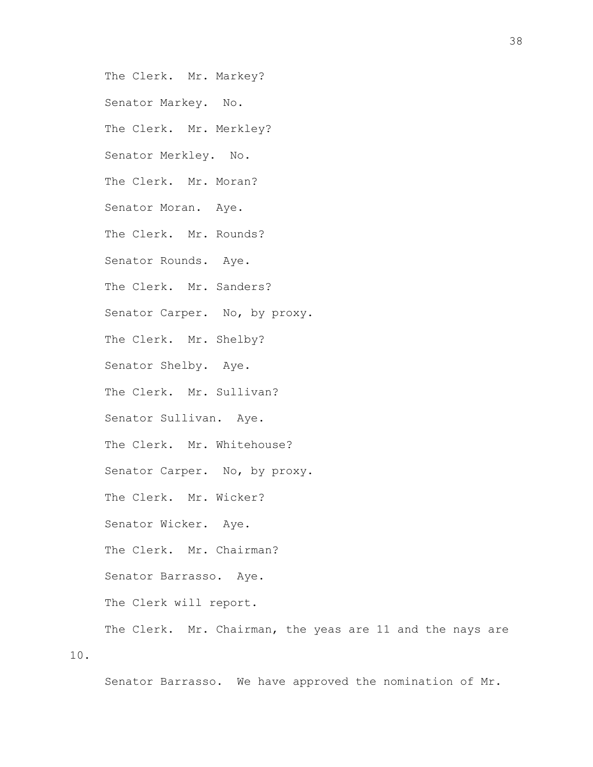The Clerk. Mr. Markey?

Senator Markey. No.

The Clerk. Mr. Merkley?

Senator Merkley. No.

The Clerk. Mr. Moran?

Senator Moran. Aye.

The Clerk. Mr. Rounds?

Senator Rounds. Aye.

The Clerk. Mr. Sanders?

Senator Carper. No, by proxy.

The Clerk. Mr. Shelby?

Senator Shelby. Aye.

The Clerk. Mr. Sullivan?

Senator Sullivan. Aye.

The Clerk. Mr. Whitehouse?

Senator Carper. No, by proxy.

The Clerk. Mr. Wicker?

Senator Wicker. Aye.

The Clerk. Mr. Chairman?

Senator Barrasso. Aye.

The Clerk will report.

The Clerk. Mr. Chairman, the yeas are 11 and the nays are

10.

Senator Barrasso. We have approved the nomination of Mr.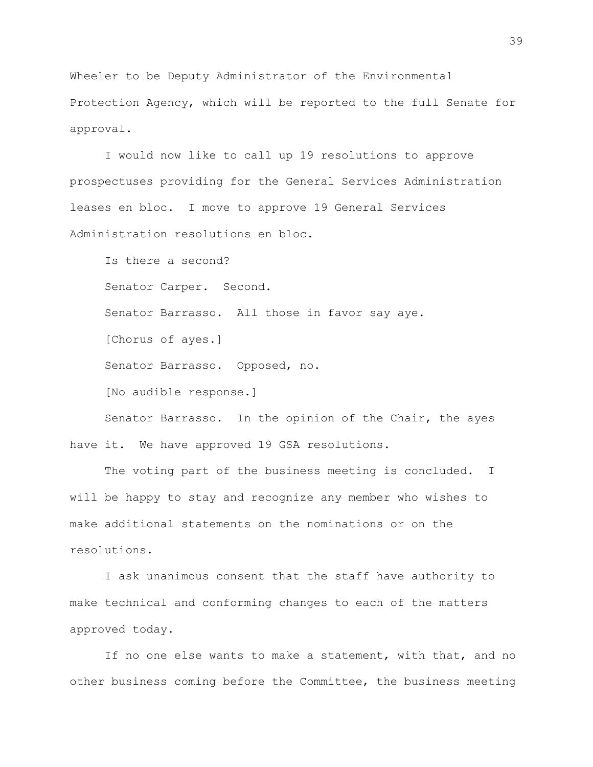Wheeler to be Deputy Administrator of the Environmental Protection Agency, which will be reported to the full Senate for approval.

I would now like to call up 19 resolutions to approve prospectuses providing for the General Services Administration leases en bloc. I move to approve 19 General Services Administration resolutions en bloc.

Is there a second? Senator Carper. Second. Senator Barrasso. All those in favor say aye. [Chorus of ayes.] Senator Barrasso. Opposed, no. [No audible response.]

Senator Barrasso. In the opinion of the Chair, the ayes have it. We have approved 19 GSA resolutions.

The voting part of the business meeting is concluded. I will be happy to stay and recognize any member who wishes to make additional statements on the nominations or on the resolutions.

I ask unanimous consent that the staff have authority to make technical and conforming changes to each of the matters approved today.

If no one else wants to make a statement, with that, and no other business coming before the Committee, the business meeting